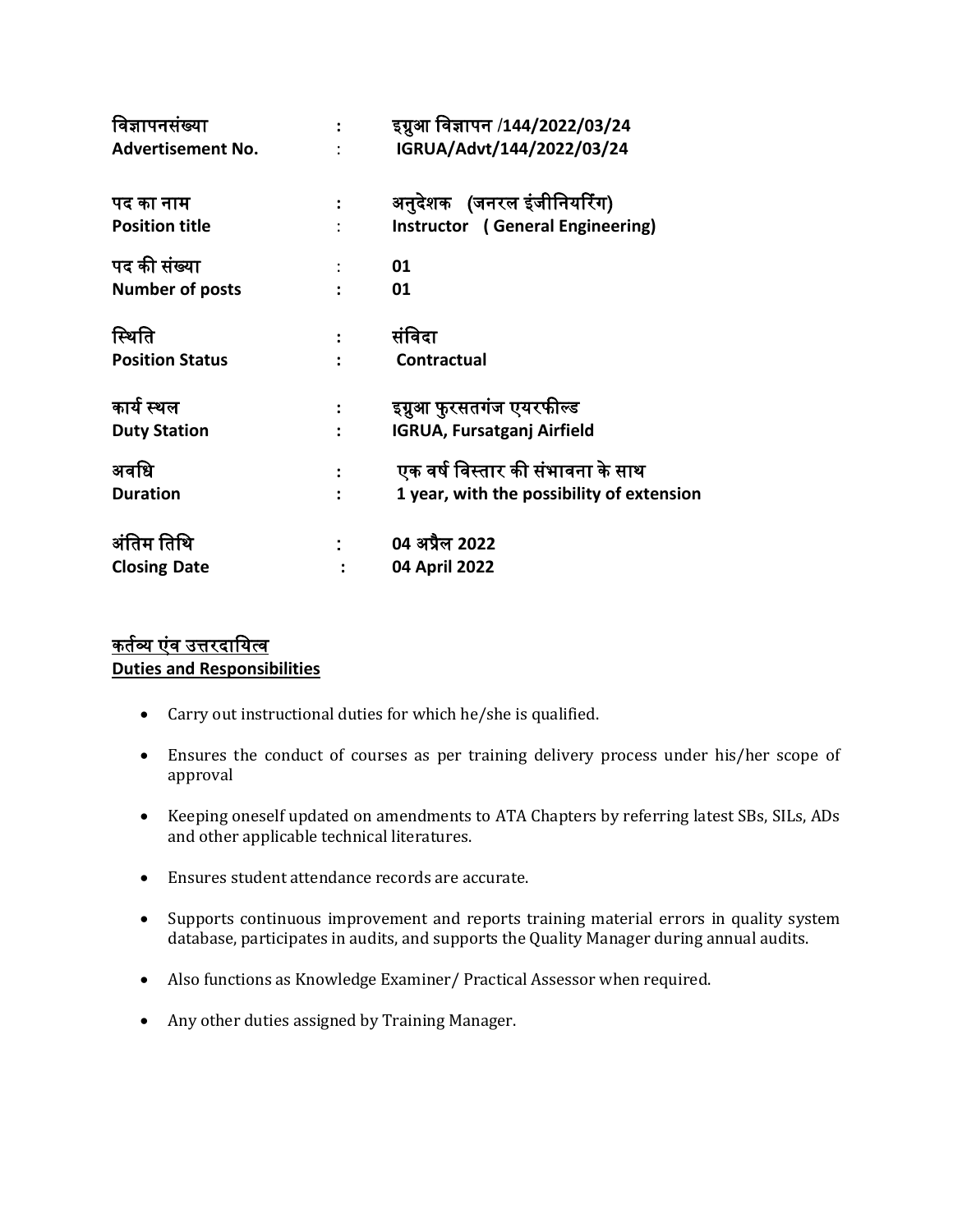| विज्ञापनसंख्या           |                      | इग्नुआ विज्ञापन /144/2022/03/24           |
|--------------------------|----------------------|-------------------------------------------|
| <b>Advertisement No.</b> |                      | IGRUA/Advt/144/2022/03/24                 |
| पद का नाम                |                      | अनुदेशक (जनरल इंजीनियरिंग)                |
| <b>Position title</b>    |                      | Instructor (General Engineering)          |
| पद की संख्या             |                      | 01                                        |
| <b>Number of posts</b>   |                      | 01                                        |
| स्थिति                   | $\ddot{\phantom{a}}$ | संविदा                                    |
| <b>Position Status</b>   |                      | <b>Contractual</b>                        |
| कार्य स्थल               |                      | इग्नुआ फुरसतगंज एयरफील्ड                  |
| <b>Duty Station</b>      |                      | <b>IGRUA, Fursatganj Airfield</b>         |
| अवधि                     |                      | एक वर्ष विस्तार की संभावना के साथ         |
| <b>Duration</b>          |                      | 1 year, with the possibility of extension |
| अंतिम तिथि               |                      | 04 अप्रैल 2022                            |
| <b>Closing Date</b>      |                      | 04 April 2022                             |

## कर्तव्य एंव उत्तरदायित्व **Duties and Responsibilities**

- Carry out instructional duties for which he/she is qualified.
- Ensures the conduct of courses as per training delivery process under his/her scope of approval
- Keeping oneself updated on amendments to ATA Chapters by referring latest SBs, SILs, ADs and other applicable technical literatures.
- Ensures student attendance records are accurate.
- Supports continuous improvement and reports training material errors in quality system database, participates in audits, and supports the Quality Manager during annual audits.
- Also functions as Knowledge Examiner/ Practical Assessor when required.
- Any other duties assigned by Training Manager.